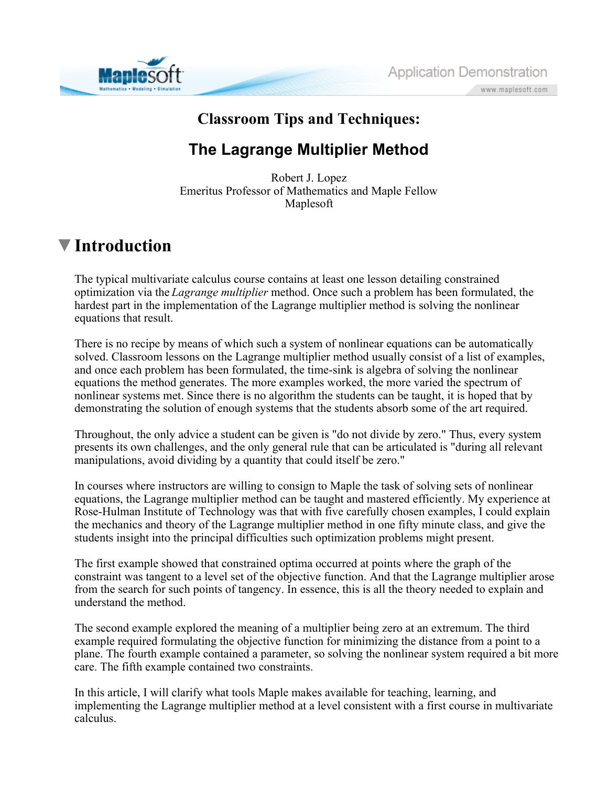



### **Classroom Tips and Techniques:**

## **The Lagrange Multiplier Method**

Robert J. Lopez Emeritus Professor of Mathematics and Maple Fellow Maplesoft

# **Introduction**

The typical multivariate calculus course contains at least one lesson detailing constrained optimization via the *Lagrange multiplier* method. Once such a problem has been formulated, the hardest part in the implementation of the Lagrange multiplier method is solving the nonlinear equations that result.

There is no recipe by means of which such a system of nonlinear equations can be automatically solved. Classroom lessons on the Lagrange multiplier method usually consist of a list of examples, and once each problem has been formulated, the time-sink is algebra of solving the nonlinear equations the method generates. The more examples worked, the more varied the spectrum of nonlinear systems met. Since there is no algorithm the students can be taught, it is hoped that by demonstrating the solution of enough systems that the students absorb some of the art required.

Throughout, the only advice a student can be given is "do not divide by zero." Thus, every system presents its own challenges, and the only general rule that can be articulated is "during all relevant manipulations, avoid dividing by a quantity that could itself be zero."

In courses where instructors are willing to consign to Maple the task of solving sets of nonlinear equations, the Lagrange multiplier method can be taught and mastered efficiently. My experience at Rose-Hulman Institute of Technology was that with five carefully chosen examples, I could explain the mechanics and theory of the Lagrange multiplier method in one fifty minute class, and give the students insight into the principal difficulties such optimization problems might present.

The first example showed that constrained optima occurred at points where the graph of the constraint was tangent to a level set of the objective function. And that the Lagrange multiplier arose from the search for such points of tangency. In essence, this is all the theory needed to explain and understand the method.

The second example explored the meaning of a multiplier being zero at an extremum. The third example required formulating the objective function for minimizing the distance from a point to a plane. The fourth example contained a parameter, so solving the nonlinear system required a bit more care. The fifth example contained two constraints.

In this article, I will clarify what tools Maple makes available for teaching, learning, and implementing the Lagrange multiplier method at a level consistent with a first course in multivariate calculus.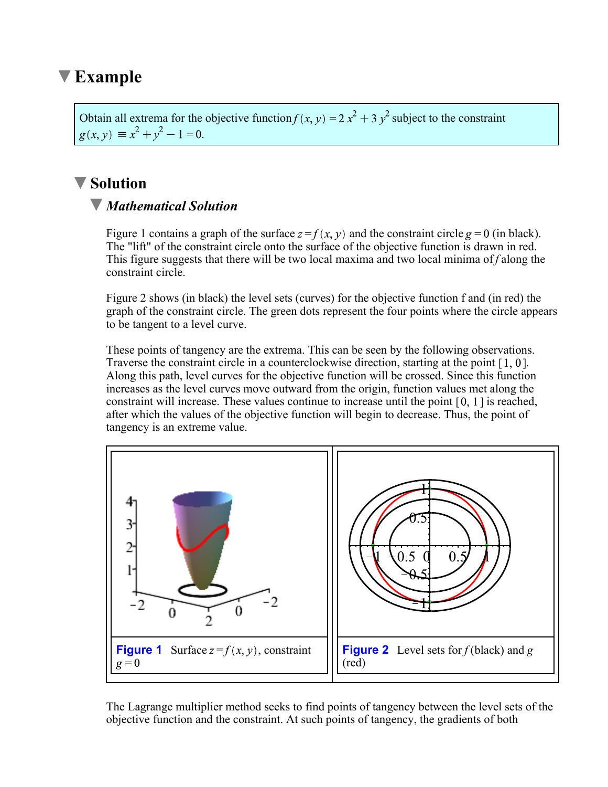## **Example**

Obtain all extrema for the objective function  $f(x, y) = 2x^2 + 3y^2$  subject to the constraint  $g(x, y) \equiv x^2 + y^2 - 1 = 0.$ 

### **Solution**

### *Mathematical Solution*

Figure 1 contains a graph of the surface  $z = f(x, y)$  and the constraint circle  $g = 0$  (in black). The "lift" of the constraint circle onto the surface of the objective function is drawn in red. This figure suggests that there will be two local maxima and two local minima of *f* along the constraint circle.

Figure 2 shows (in black) the level sets (curves) for the objective function f and (in red) the graph of the constraint circle. The green dots represent the four points where the circle appears to be tangent to a level curve.

These points of tangency are the extrema. This can be seen by the following observations. Traverse the constraint circle in a counterclockwise direction, starting at the point  $[1, 0]$ . Along this path, level curves for the objective function will be crossed. Since this function increases as the level curves move outward from the origin, function values met along the constraint will increase. These values continue to increase until the point  $[0, 1]$  is reached, after which the values of the objective function will begin to decrease. Thus, the point of tangency is an extreme value.



The Lagrange multiplier method seeks to find points of tangency between the level sets of the objective function and the constraint. At such points of tangency, the gradients of both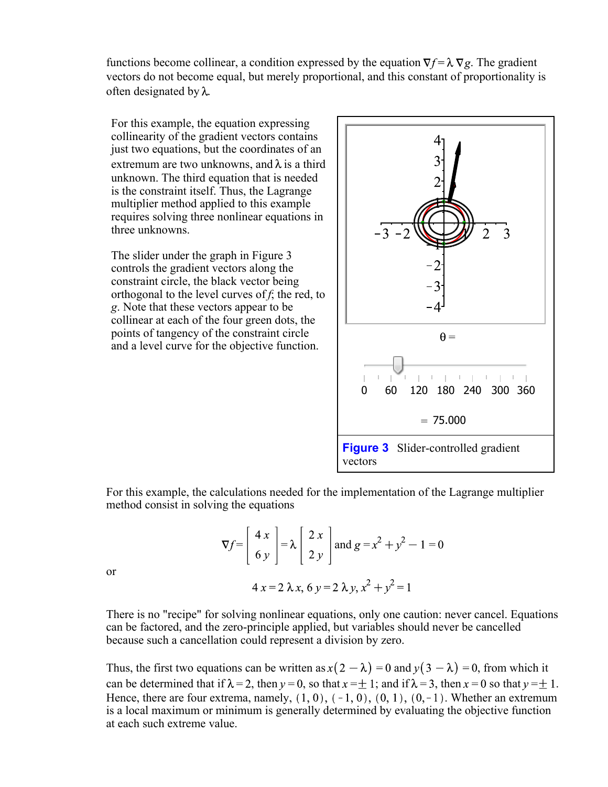functions become collinear, a condition expressed by the equation  $\nabla f = \lambda \nabla g$ . The gradient vectors do not become equal, but merely proportional, and this constant of proportionality is often designated by  $\lambda$ .

For this example, the equation expressing collinearity of the gradient vectors contains just two equations, but the coordinates of an extremum are two unknowns, and  $\lambda$  is a third unknown. The third equation that is needed is the constraint itself. Thus, the Lagrange multiplier method applied to this example requires solving three nonlinear equations in three unknowns.

The slider under the graph in Figure 3 controls the gradient vectors along the constraint circle, the black vector being orthogonal to the level curves of *f*; the red, to *g*. Note that these vectors appear to be collinear at each of the four green dots, the points of tangency of the constraint circle and a level curve for the objective function.



For this example, the calculations needed for the implementation of the Lagrange multiplier method consist in solving the equations

$$
\nabla f = \begin{bmatrix} 4 & x \\ 6 & y \end{bmatrix} = \lambda \begin{bmatrix} 2 & x \\ 2 & y \end{bmatrix} \text{ and } g = x^2 + y^2 - 1 = 0
$$
  
4x = 2 \lambda x, 6y = 2 \lambda y, x<sup>2</sup> + y<sup>2</sup> = 1

or

There is no "recipe" for solving nonlinear equations, only one caution: never cancel. Equations can be factored, and the zero-principle applied, but variables should never be cancelled because such a cancellation could represent a division by zero.

Thus, the first two equations can be written as  $x(2 - \lambda) = 0$  and  $y(3 - \lambda) = 0$ , from which it can be determined that if  $\lambda = 2$ , then  $y = 0$ , so that  $x = \pm 1$ ; and if  $\lambda = 3$ , then  $x = 0$  so that  $y = \pm 1$ . Hence, there are four extrema, namely,  $(1, 0)$ ,  $(-1, 0)$ ,  $(0, 1)$ ,  $(0, -1)$ . Whether an extremum is a local maximum or minimum is generally determined by evaluating the objective function at each such extreme value.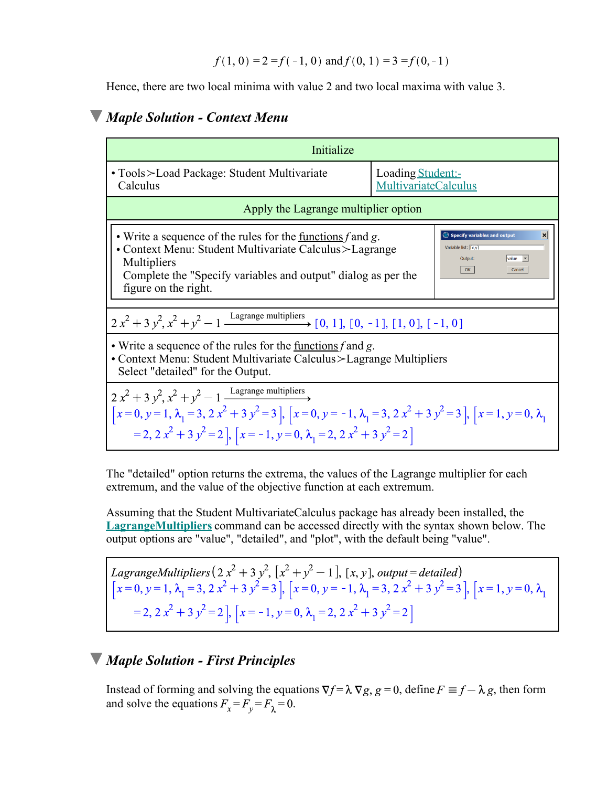Hence, there are two local minima with value 2 and two local maxima with value 3.

#### *Maple Solution - Context Menu*

| Initialize                                                                                                                                                                                                                                                                                                                                                                |                                                  |
|---------------------------------------------------------------------------------------------------------------------------------------------------------------------------------------------------------------------------------------------------------------------------------------------------------------------------------------------------------------------------|--------------------------------------------------|
| • Tools > Load Package: Student Multivariate<br>Calculus                                                                                                                                                                                                                                                                                                                  | Loading Student:-<br><b>MultivariateCalculus</b> |
| Apply the Lagrange multiplier option                                                                                                                                                                                                                                                                                                                                      |                                                  |
| Specify variables and output<br>• Write a sequence of the rules for the <u>functions</u> $f$ and $g$ .<br>$\vert x \vert$<br>Variable list: [X.v]<br>• Context Menu: Student Multivariate Calculus > Lagrange<br>$value$ $\rightarrow$<br>Output:<br>Multipliers<br>OK<br>Cancel<br>Complete the "Specify variables and output" dialog as per the<br>figure on the right. |                                                  |
| $2x^2 + 3y^2$ , $x^2 + y^2 - 1$ Lagrange multipliers [0, 1], [0, -1], [1, 0], [-1, 0]                                                                                                                                                                                                                                                                                     |                                                  |
| • Write a sequence of the rules for the <u>functions</u> f and g.<br>• Context Menu: Student Multivariate Calculus > Lagrange Multipliers<br>Select "detailed" for the Output.                                                                                                                                                                                            |                                                  |
| $2x^2 + 3y^2$ , $x^2 + y^2 - 1$ Lagrange multipliers<br>$\left[x=0, y=1, \lambda_1=3, 2x^2+3y^2=3\right], \left[x=0, y=-1, \lambda_1=3, 2x^2+3y^2=3\right], \left[x=1, y=0, \lambda_1=3, 2x^2+3y^2=3\right],$<br>$= 2, 2x2 + 3y2 = 2$ , $[x = -1, y = 0, \lambda_1 = 2, 2x2 + 3y2 = 2]$                                                                                   |                                                  |

The "detailed" option returns the extrema, the values of the Lagrange multiplier for each extremum, and the value of the objective function at each extremum.

Assuming that the Student MultivariateCalculus package has already been installed, the **LagrangeMultipliers** command can be accessed directly with the syntax shown below. The output options are "value", "detailed", and "plot", with the default being "value".

LagrangeMultipliers  $(2x^2 + 3y^2, [x^2 + y^2 - 1], [x, y], output = detailed)$ <br>  $[x = 0, y = 1, \lambda_1 = 3, 2x^2 + 3y^2 = 3], [x = 0, y = -1, \lambda_1 = 3, 2x^2 + 3y^2 = 3], [x = 1, y = 0, \lambda_1 = 2, 2x^2 + 3y^2 = 2], [x = -1, y = 0, \lambda_1 = 2, 2x^2 + 3y^2 = 2]$ 

### *Maple Solution - First Principles*

Instead of forming and solving the equations  $\nabla f = \lambda \nabla g$ ,  $g = 0$ , define  $F \equiv f - \lambda g$ , then form and solve the equations  $F_x = F_y = F_\lambda = 0$ .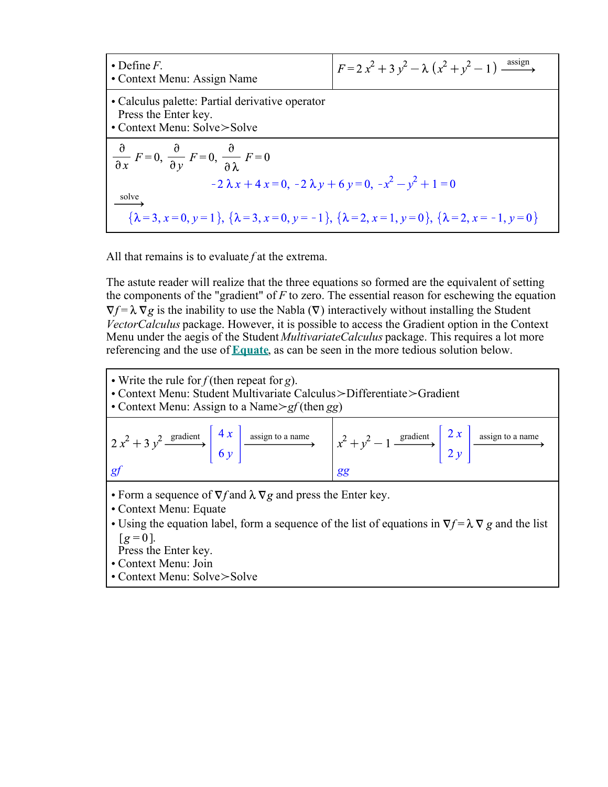| $\bullet$ Define F.<br>• Context Menu: Assign Name                                                                             | $F = 2x^2 + 3y^2 - \lambda (x^2 + y^2 - 1) \xrightarrow{\text{assign}}$ |  |
|--------------------------------------------------------------------------------------------------------------------------------|-------------------------------------------------------------------------|--|
| • Calculus palette: Partial derivative operator<br>Press the Enter key.<br>• Context Menu: Solve>Solve                         |                                                                         |  |
| $\frac{\partial}{\partial x} F = 0$ , $\frac{\partial}{\partial y} F = 0$ , $\frac{\partial}{\partial \lambda} F = 0$          |                                                                         |  |
| $-2\lambda x + 4x = 0, -2\lambda y + 6y = 0, -x2 - y2 + 1 = 0$                                                                 |                                                                         |  |
| solve                                                                                                                          |                                                                         |  |
| $\{\lambda = 3, x = 0, y = 1\}, \{\lambda = 3, x = 0, y = -1\}, \{\lambda = 2, x = 1, y = 0\}, \{\lambda = 2, x = -1, y = 0\}$ |                                                                         |  |

All that remains is to evaluate *f* at the extrema.

The astute reader will realize that the three equations so formed are the equivalent of setting the components of the "gradient" of *F* to zero. The essential reason for eschewing the equation  $\nabla f = \lambda \nabla g$  is the inability to use the Nabla ( $\nabla$ ) interactively without installing the Student *VectorCalculus* package. However, it is possible to access the Gradient option in the Context Menu under the aegis of the Student *MultivariateCalculus* package. This requires a lot more referencing and the use of **Equate**, as can be seen in the more tedious solution below.



- Using the equation label, form a sequence of the list of equations in  $\nabla f = \lambda \nabla g$  and the list  $\lceil g=0 \rceil$ .
- Press the Enter key.
- Context Menu: Join
- Context Menu: Solve>Solve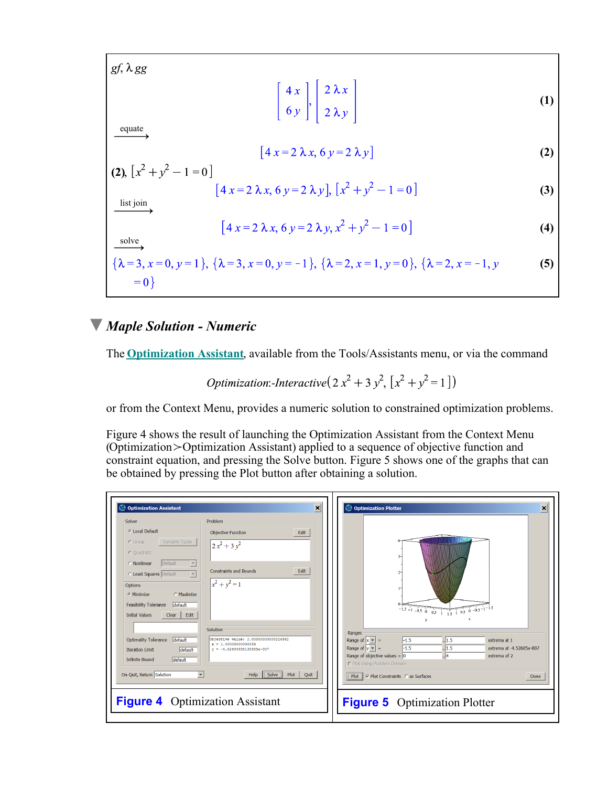$gf$ ,  $\lambda gg$ 

$$
\left[\begin{array}{c}4 x \\ 6 y\end{array}\right], \left[\begin{array}{c}2 \lambda x \\ 2 \lambda y\end{array}\right]
$$
 (1)

equate

$$
4 x = 2 \lambda x, 6 y = 2 \lambda y
$$
 (2)

(2), 
$$
[x^2 + y^2 - 1 = 0]
$$
  
\n $[4x = 2 \lambda x, 6y = 2 \lambda y], [x^2 + y^2 - 1 = 0]$  (3)

list join

solve

$$
[4 x=2 \lambda x, 6 y=2 \lambda y, x^2+y^2-1=0]
$$
 (4)

$$
\{\lambda = 3, x = 0, y = 1\}, \{\lambda = 3, x = 0, y = -1\}, \{\lambda = 2, x = 1, y = 0\}, \{\lambda = 2, x = -1, y = 0\}
$$
\n(5)

#### *Maple Solution - Numeric*

The **Optimization Assistant**, available from the Tools/Assistants menu, or via the command

*Optimization: Interactive*
$$
(2x^2 + 3y^2, [x^2 + y^2 = 1])
$$

or from the Context Menu, provides a numeric solution to constrained optimization problems.

Figure 4 shows the result of launching the Optimization Assistant from the Context Menu (Optimization\_Optimization Assistant) applied to a sequence of objective function and constraint equation, and pressing the Solve button. Figure 5 shows one of the graphs that can be obtained by pressing the Plot button after obtaining a solution.